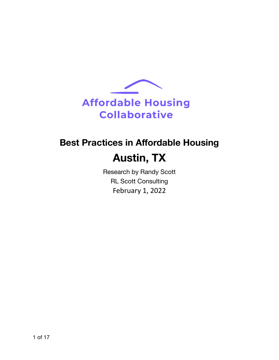

# **Best Practices in Affordable Housing**

# **Austin, TX**

Research by Randy Scott RL Scott Consulting February 1, 2022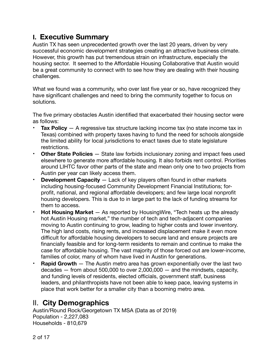# **I. Executive Summary**

Austin TX has seen unprecedented growth over the last 20 years, driven by very successful economic development strategies creating an attractive business climate. However, this growth has put tremendous strain on infrastructure, especially the housing sector. It seemed to the Affordable Housing Collaborative that Austin would be a great community to connect with to see how they are dealing with their housing challenges.

What we found was a community, who over last five year or so, have recognized they have significant challenges and need to bring the community together to focus on solutions.

The five primary obstacles Austin identified that exacerbated their housing sector were as follows:

- **Tax Policy** A regressive tax structure lacking income tax (no state income tax in Texas) combined with property taxes having to fund the need for schools alongside the limited ability for local jurisdictions to enact taxes due to state legislature restrictions.
- **Other State Policies** State law forbids inclusionary zoning and impact fees used elsewhere to generate more affordable housing. It also forbids rent control. Priorities around LIHTC favor other parts of the state and mean only one to two projects from Austin per year can likely access them.
- **Development Capacity** Lack of key players often found in other markets including housing-focused Community Development Financial Institutions; forprofit, national, and regional affordable developers; and few large local nonprofit housing developers. This is due to in large part to the lack of funding streams for them to access.
- **Hot Housing Market**  As reported by HousingWire, "Tech heats up the already hot Austin Housing market," the number of tech and tech-adjacent companies moving to Austin continuing to grow, leading to higher costs and lower inventory. The high land costs, rising rents, and increased displacement make it even more difficult for affordable housing developers to secure land and ensure projects are financially feasible and for long-term residents to remain and continue to make the case for affordable housing. The vast majority of those forced out are lower-income, families of color, many of whom have lived in Austin for generations.
- **Rapid Growth** The Austin metro area has grown exponentially over the last two decades  $-$  from about 500,000 to over 2,000,000  $-$  and the mindsets, capacity, and funding levels of residents, elected officials, government staff, business leaders, and philanthropists have not been able to keep pace, leaving systems in place that work better for a smaller city than a booming metro area.

# II. **City Demographics**

Austin/Round Rock/Georgetown TX MSA (Data as of 2019) Population - 2,227,083 Households - 810,679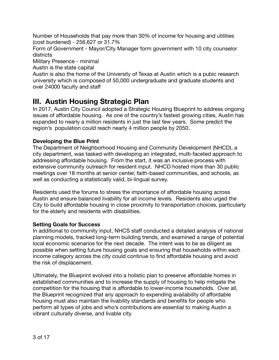Number of Households that pay more than 30% of income for housing and utilities (cost burdened) - 256,627 or 31.7%

Form of Government - Mayor/City Manager form government with 10 city counselor districts

Military Presence - minimal

Austin is the state capital

Austin is also the home of the University of Texas at Austin which is a pubic research university which is composed of 50,000 undergraduate and graduate students and over 24000 faculty and staff

# **III. Austin Housing Strategic Plan**

In 2017, Austin City Council adopted a Strategic Housing Blueprint to address ongoing issues of affordable housing. As one of the country's fastest growing cities, Austin has expanded to nearly a million residents in just the last few years. Some predict the region's population could reach nearly 4 million people by 2050.

## **Developing the Blue Print**

The Department of Neighborhood Housing and Community Development (NHCD), a city department, was tasked with developing an integrated, multi-faceted approach to addressing affordable housing. From the start, it was an inclusive process with extensive community outreach for resident input. NHCD hosted more than 30 public meetings over 18 months at senior center, faith-based communities, and schools, as well as conducting a statistically valid, bi-lingual survey.

Residents used the forums to stress the importance of affordable housing across Austin and ensure balanced livability for all income levels. Residents also urged the City to build affordable housing in close proximity to transportation choices, particularly for the elderly and residents with disabilities.

## **Setting Goals for Success**

In additional to community input, NHCS staff conducted a detailed analysis of national planning models, tracked long-term building trends, and examined a range of potential local economic scenarios for the next decade. The intent was to be as diligent as possible when setting future housing goals and ensuring that households within each income category across the city could continue to find affordable housing and avoid the risk of displacement.

Ultimately, the Blueprint evolved into a holistic plan to preserve affordable homes in established communities and to increase the supply of housing to help mitigate the competition for the housing that is affordable to lower-income households. Over all, the Blueprint recognized that any approach to expending availability of affordable housing must also maintain the livability standards and benefits for people who perform all types of jobs and who's contributions are essential to making Austin a vibrant culturally diverse, and livable city.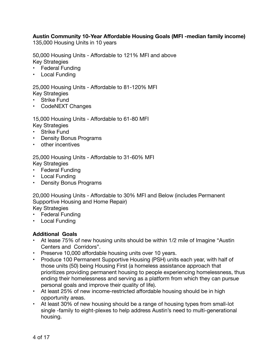## **Austin Community 10-Year Affordable Housing Goals (MFI -median family income)**

135,000 Housing Units in 10 years

50,000 Housing Units - Affordable to 121% MFI and above Key Strategies

- **Federal Funding**
- Local Funding

25,000 Housing Units - Affordable to 81-120% MFI Key Strategies

- **Strike Fund**
- CodeNEXT Changes

15,000 Housing Units - Affordable to 61-80 MFI Key Strategies

- Strike Fund
- Density Bonus Programs
- other incentives

25,000 Housing Units - Affordable to 31-60% MFI Key Strategies

- Federal Funding
- Local Funding
- Density Bonus Programs

20,000 Housing Units - Affordable to 30% MFI and Below (includes Permanent Supportive Housing and Home Repair) Key Strategies

- Federal Funding
- Local Funding

### **Additional Goals**

- At lease 75% of new housing units should be within 1/2 mile of Imagine "Austin Centers and Corridors".
- Preserve 10,000 affordable housing units over 10 years.
- Produce 100 Permanent Supportive Housing (PSH) units each year, with half of those units (50) being Housing First (a homeless assistance approach that prioritizes providing permanent housing to people experiencing homelessness, thus ending their homelessness and serving as a platform from which they can pursue personal goals and improve their quality of life).
- At least 25% of new income-restricted affordable housing should be in high opportunity areas.
- At least 30% of new housing should be a range of housing types from small-lot single -family to eight-plexes to help address Austin's need to multi-generational housing.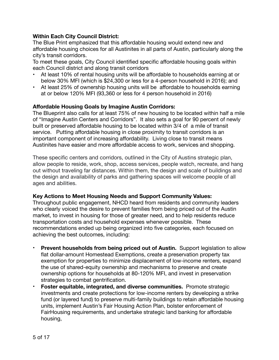## **Within Each City Council District:**

The Blue Print emphasized that this affordable housing would extend new and affordable housing choices for all Austinites in all parts of Austin, particularly along the city's transit corridors.

To meet these goals, City Council identified specific affordable housing goals within each Council district and along transit corridors

- At least 10% of rental housing units will be affordable to households earning at or below 30% MFI (which is \$24,300 or less for a 4-person household in 2016); and
- At least 25% of ownership housing units will be affordable to households earning at or below 120% MFI (93,360 or less for 4 person household in 2016)

## **Affordable Housing Goals by Imagine Austin Corridors:**

The Blueprint also calls for at least 75% of new housing to be located within half a mile of "Imagine Austin Centers and Corridors". It also sets a goal for 90 percent of newly built or preserved affordable housing to be located within 3/4 of a mile of transit service. Putting affordable housing in close proximity to transit corridors is an important component of increasing affordability. Living close to transit means Austinites have easier and more affordable access to work, services and shopping.

These specific centers and corridors, outlined in the City of Austins strategic plan, allow people to reside, work, shop, access services, people watch, recreate, and hang out without traveling far distances. Within them, the design and scale of buildings and the design and availability of parks and gathering spaces will welcome people of all ages and abilities.

### **Key Actions to Meet Housing Needs and Support Community Values:**

Throughout public engagement, NHCD heard from residents and community leaders who clearly voiced the desire to prevent families from being priced out of the Austin market, to invest in housing for those of greater need, and to help residents reduce transportation costs and household expenses whenever possible. These recommendations ended up being organized into five categories, each focused on achieving the best outcomes, including:

- **Prevent households from being priced out of Austin.** Support legislation to allow flat dollar-amount Homestead Exemptions, create a preservation property tax exemption for properties to minimize displacement of low-income renters, expand the use of shared-equity ownership and mechanisms to preserve and create ownership options for households at 80-120% MFI, and invest in preservation strategies to combat gentrification.
- **Foster equitable, integrated, and diverse communities.** Promote strategic investments and create protections for low-income renters by developing a strike fund (or layered fund) to preserve multi-family buildings to retain affordable housing units, implement Austin's Fair Housing Action Plan, bolster enforcement of FairHousing requirements, and undertake strategic land banking for affordable housing,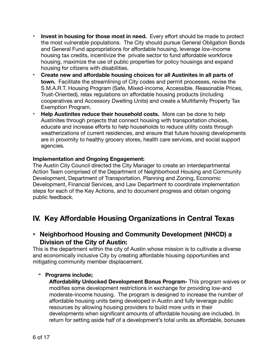- **Invest in housing for those most in need.** Every effort should be made to protect the most vulnerable populations. The City should pursue General Obligation Bonds and General Fund appropriations for affordable housing, leverage low-income housing tax credits, incentivize the private sector to fund affordable workforce housing, maximize the use of public properties for policy housings and expand housing for citizens with disabilities.
- **Create new and affordable housing choices for all Austinites in all parts of town.** Facilitate the streamlining of City codes and permit processes, revise the S.M.A.R.T. Housing Program (Safe, Mixed-income, Accessible. Reasonable Prices, Trust-Oriented), relax regulations on affordable housing products (including cooperatives and Accessory Dwelling Units) and create a Multifamily Property Tax Exemption Program.
- **Help Austinites reduce their household costs.** More can be done to help Austinites through projects that connect housing with transportation choices, educate and increase efforts to help households to reduce utility costs through weatherizations of current residences, and ensure that future housing developments are in proximity to healthy grocery stores, health care services, and social support agencies.

## **Implementation and Ongoing Engagement:**

The Austin City Council directed the City Manager to create an interdepartmental Action Team comprised of the Department of Neighborhood Housing and Community Development, Department of Transportation, Planning and Zoning, Economic Development, Financial Services, and Law Department to coordinate implementation steps for each of the Key Actions, and to document progress and obtain ongoing public feedback.

## **IV. Key Affordable Housing Organizations in Central Texas**

## **• Neighborhood Housing and Community Development (NHCD) a Division of the City of Austin:**

This is the department within the city of Austin whose mission is to cultivate a diverse and economically inclusive City by creating affordable housing opportunities and mitigating community member displacement.

## **- Programs include;**

**Affordability Unlocked Development Bonus Program-** This program waives or modifies some development restrictions in exchange for providing low-and moderate-income housing. The program is designed to increase the number of affordable housing units being developed in Austin and fully leverage public resources by allowing housing providers to build more units in their developments when significant amounts of affordable housing are included. In return for setting aside half of a development's total units as affordable, bonuses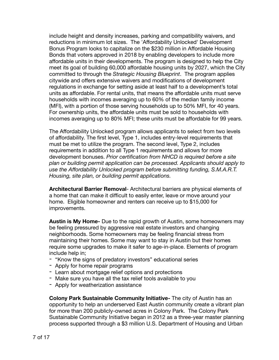include height and density increases, parking and compatibility waivers, and reductions in minimum lot sizes. The 'Affordability Unlocked' Development Bonus Program looks to capitalize on the \$230 million in Affordable Housing Bonds that voters approved in 2018 by enabling developers to include more affordable units in their developments. The program is designed to help the City meet its goal of building 60,000 affordable housing units by 2027, which the City committed to through the *Strategic Housing Blueprint*. The program applies citywide and offers extensive waivers and modifications of development regulations in exchange for setting aside at least half to a development's total units as affordable. For rental units, that means the affordable units must serve households with incomes averaging up to 60% of the median family income (MFI), with a portion of those serving households up to 50% MFI, for 40 years. For ownership units, the affordable units must be sold to households with incomes averaging up to 80% MFI; these units must be affordable for 99 years.

The Affordability Unlocked program allows applicants to select from two levels of affordability. The first level, Type 1, includes entry-level requirements that must be met to utilize the program. The second level, Type 2, includes requirements in addition to all Type 1 requirements and allows for more development bonuses. *Prior certification from NHCD is required before a site plan or building permit application can be processed. Applicants should apply to use the Affordability Unlocked program before submitting funding, S.M.A.R.T. Housing, site plan, or building permit applications.* 

**Architectural Barrier Removal**- Architectural barriers are physical elements of a home that can make it difficult to easily enter, leave or move around your home. Eligible homeowner and renters can receive up to \$15,000 for improvements.

**Austin is My Home-** Due to the rapid growth of Austin, some homeowners may be feeling pressured by aggressive real estate investors and changing neighborhoods. Some homeowners may be feeling financial stress from maintaining their homes. Some may want to stay in Austin but their homes require some upgrades to make it safer to age-in-place. Elements of program include help in;

- "Know the signs of predatory investors" educational series
- Apply for home repair programs
- Learn about mortgage relief options and protections
- Make sure you have all the tax relief tools available to you
- Apply for weatherization assistance

**Colony Park Sustainable Community Initiative-** The city of Austin has an opportunity to help an underserved East Austin community create a vibrant plan for more than 200 publicly-owned acres in Colony Park. The Colony Park Sustainable Community Initiative began in 2012 as a three-year master planning process supported through a \$3 million U.S. Department of Housing and Urban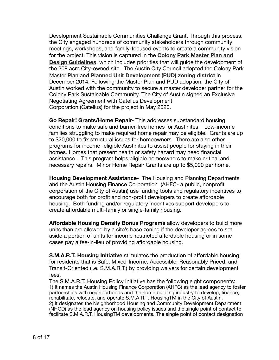Development Sustainable Communities Challenge Grant. Through this process, the City engaged hundreds of community stakeholders through community meetings, workshops, and family-focused events to create a community vision for the project. This vision is captured in the **[Colony Park Master Plan and](https://www.austintexas.gov/edims/document.cfm?id=223245)  [Design Guidelines](https://www.austintexas.gov/edims/document.cfm?id=223245)**, which includes priorities that will guide the development of the 208 acre City-owned site. The Austin City Council adopted the Colony Park Master Plan and **[Planned Unit Development \(PUD\) zoning district](https://www.austintexas.gov/edims/document.cfm?id=224095)** in December 2014. Following the Master Plan and PUD adoption, the City of Austin worked with the community to secure a master developer partner for the Colony Park Sustainable Community. The City of Austin signed an Exclusive Negotiating Agreement with Catellus Development Corporation (Catellus) for the project in May 2020.

**Go Repair! Grants/Home Repair-** This addresses substandard housing conditions to make safe and barrier-free homes for Austinites. Low-income families struggling to make required home repair may be eligible. Grants are up to \$20,000 to fix structural issues for homeowners. There are also other programs for income -eligible Austinites to assist people for staying in their homes. Homes that present health or safety hazard may need financial assistance . This program helps eligible homeowners to make critical and necessary repairs. Minor Home Repair Grants are up to \$5,000 per home.

**Housing Development Assistance**- The Housing and Planning Departments and the Austin Housing Finance Corporation (AHFC- a public, nonprofit corporation of the City of Austin) use funding tools and regulatory incentives to encourage both for profit and non-profit developers to create affordable housing. Both funding and/or regulatory incentives support developers to create affordable multi-family or single-family housing.

**Affordable Housing Density Bonus Programs** allow developers to build more units than are allowed by a site's base zoning if the developer agrees to set aside a portion of units for income-restricted affordable housing or in some cases pay a fee-in-lieu of providing affordable housing.

**S.M.A.R.T. Housing Initiative** stimulates the production of affordable housing for residents that is Safe, Mixed-Income, Accessible, Reasonably Priced, and Transit-Oriented (i.e. S.M.A.R.T.) by providing waivers for certain development fees.

The S.M.A.R.T. Housing Policy Initiative has the following eight components: 1) It names the Austin Housing Finance Corporation (AHFC) as the lead agency to foster partnerships with neighborhoods and the home building industry to develop, finance,, rehabilitate, relocate, and operate S.M.A.R.T. HousingTM in the City of Austin. 2) It designates the Neighborhood Housing and Community Development Department (NHCD) as the lead agency on housing policy issues and the single point of contact to facilitate S.M.A.R.T. HousingTM developments. The single point of contact designation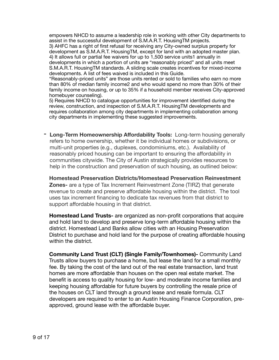empowers NHCD to assume a leadership role in working with other City departments to assist in the successful development of S.M.A.R.T. HousingTM projects.

3) AHFC has a right of first refusal for receiving any City-owned surplus property for development as S.M.A.R.T. HousingTM, except for land with an adopted master plan. 4) It allows full or partial fee waivers for up to 1,500 service units1 annually in developments in which a portion of units are "reasonably priced" and all units meet S.M.A.R.T. HousingTM standards. A sliding scale creates incentives for mixed-income developments. A list of fees waived is included in this Guide.

"Reasonably-priced units" are those units rented or sold to families who earn no more than 80% of median family income2 and who would spend no more than 30% of their family income on housing, or up to 35% if a household member receives City-approved homebuyer counseling).

5) Requires NHCD to catalogue opportunities for improvement identified during the review, construction, and inspection of S.M.A.R.T. HousingTM developments and requires collaboration among city departments in implementing collaboration among city departments in implementing these suggested improvements.

**- Long-Term Homeownership Affordability Tools:** Long-term housing generally refers to home ownership, whether it be individual homes or subdivisions, or multi-unit properties (e.g., duplexes, condominiums, etc.). Availability of reasonably priced housing can be important to ensuring the affordability in communities citywide. The City of Austin strategically provides resources to help in the construction and preservation of such housing, as outlined below:

**Homestead Preservation Districts/Homestead Preservation Reinvestment Zones-** are a type of Tax Increment Reinvestment Zone (TIRZ) that generate revenue to create and preserve affordable housing within the district. The tool uses tax increment financing to dedicate tax revenues from that district to support affordable housing in that district.

**Homestead Land Trusts-** are organized as non-profit corporations that acquire and hold land to develop and preserve long-term affordable housing within the district. Homestead Land Banks allow cities with an Housing Preservation District to purchase and hold land for the purpose of creating affordable housing within the district.

**Community Land Trust (CLT) (Single Family/Townhomes)-** Community Land Trusts allow buyers to purchase a home, but lease the land for a small monthly fee. By taking the cost of the land out of the real estate transaction, land trust homes are more affordable than houses on the open real estate market. The benefit is access to quality housing for low- and moderate income families and keeping housing affordable for future buyers by controlling the resale price of the houses on CLT land through a ground lease and resale formula. CLT developers are required to enter to an Austin Housing Finance Corporation, pre approved, ground lease with the affordable buyer.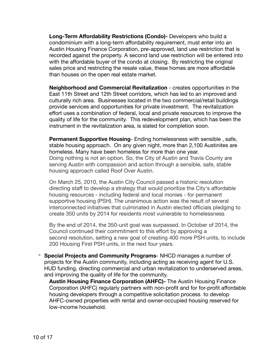**Long-Term Affordability Restrictions (Condo)-** Developers who build a condominium with a long-term affordability requirement, must enter into an Austin Housing Finance Corporation, pre-approved, land use restriction that is recorded against the property. A second land use restriction will be entered into with the affordable buyer of the condo at closing. By restricting the original sales price and restricting the resale value, these homes are more affordable than houses on the open real estate market.

**Neighborhood and Commercial Revitalization** - creates opportunities in the East 11th Street and 12th Street corridors, which has led to an improved and culturally rich area. Businesses located in the two commercial/retail buildings provide services and opportunities for private investment. The revitalization effort uses a combination of federal, local and private resources to improve the quality of life for the community. This redevelopment plan, which has been the instrument in the revitalization area, is slated for completion soon.

**Permanent Supportive Housing**- Ending homelessness with sensible , safe, stable housing approach. On any given night, more than 2,100 Austinites are homeless. Many have been homeless for more than one year. Doing nothing is not an option. So, the City of Austin and Travis County are serving Austin with compassion and action through a sensible, safe, stable housing approach called Roof Over Austin.

On March 25, 2010, the Austin City Council passed a [historic resolution](http://www.ci.austin.tx.us/edims/document.cfm?id=135328) directing staff to develop a [strategy](http://www.ci.austin.tx.us/housing/downloads/csh_austin_psh_strategy_%20092710.pdf) that would prioritize the City's affordable housing resources - including federal and local monies - for permanent supportive housing (PSH). The unanimous action was the result of several interconnected initiatives that culminated in Austin elected officials pledging to create 350 units by 2014 for residents most vulnerable to homelessness

By the end of 2014, the 350-unit goal was surpassed. In October of 2014, the Council continued their commitment to this effort by approving a [second resolution](http://www.cityofaustin.org/edims/document.cfm?id=218838), setting a new goal of creating 400 more PSH units, to include 200 [Housing First PSH](http://www.austinecho.org/the-solution__trashed/housing-interventions/) units, in the next four years.

- **Special Projects and Community Programs**- NHCD manages a number of projects for the Austin community, including acting as receiving agent for U.S. HUD funding, directing commercial and urban revitalization to underserved areas, and improving the quality of life for the community.

**Austin Housing Finance Corporation (AHFC)-** The Austin Housing Finance Corporation (AHFC) regularly partners with non-profit and for for-profit affordable housing developers through a competitive solicitation process to develop AHFC-owned properties with rental and owner-occupied housing reserved for low-income household.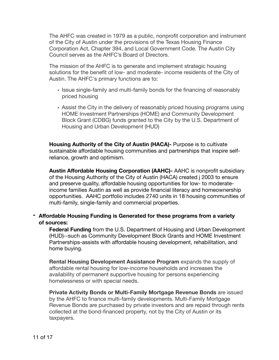The AHFC was created in 1979 as a public, nonprofit corporation and instrument of the City of Austin under the provisions of the Texas Housing Finance Corporation Act, Chapter 394, and Local Government Code. The Austin City Council serves as the AHFC's Board of Directors.

The mission of the AHFC is to generate and implement strategic housing solutions for the benefit of low- and moderate- income residents of the City of Austin. The AHFC's primary functions are to:

- Issue single-family and multi-family bonds for the financing of reasonably priced housing
- Assist the City in the delivery of reasonably priced housing programs using HOME Investment Partnerships (HOME) and Community Development Block Grant (CDBG) funds granted to the City by the U.S. Department of Housing and Urban Development (HUD)

**Housing Authority of the City of Austin (HACA)-** Purpose is to cultivate sustainable affordable housing communities and partnerships that inspire selfreliance, growth and optimism.

**Austin Affordable Housing Corporation (AAHC)-** AAHC is nonprofit subsidiary of the Housing Authority of the City of Austin (HACA) created j 2003 to ensure and preserve quality, affordable housing opportunities for low- to moderateincome families Austin as well as provide financial literacy and homeownership opportunities. AAHC portfolio includes 2740 units in 18 housing communities of multi-family, single-family and commercial properties.

**- Affordable Housing Funding is Generated for these programs from a variety of sources:** 

**Federal Funding** from the U.S. Department of Housing and Urban Development (HUD)--such as Community Development Block Grants and HOME Investment Partnerships-assists with affordable housing development, rehabilitation, and home buying.

**Rental Housing Development Assistance Program** expands the supply of affordable rental housing for low-income households and increases the availability of permanent supportive housing for persons experiencing homelessness or with special needs.

**Private Activity Bonds or Multi-Family Mortgage Revenue Bonds** are issued by the AHFC to finance multi-family developments. Multi-Family Mortgage Revenue Bonds are purchased by private investors and are repaid through rents collected at the bond-financed property, not by the City of Austin or its taxpayers.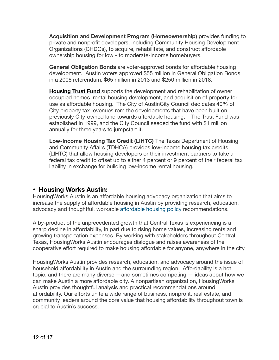**Acquisition and Development Program (Homeownership)** provides funding to private and nonprofit developers, including Community Housing Development Organizations (CHDOs), to acquire, rehabilitate, and construct affordable ownership housing for low - to moderate-income homebuyers.

**General Obligation Bonds** are voter-approved bonds for affordable housing development. Austin voters approved \$55 million in General Obligation Bonds in a 2006 referendum, \$65 million in 2013 and \$250 million in 2018.

**[Housing Trust Fund](http://www.austintexas.gov/department/housing-trust-fund)** supports the development and rehabilitation of owner occupied homes, rental housing development, and acquisition of property for use as affordable housing. The City of AustinCity Council dedicates 40% of City property tax revenues rom the developments that have been built on previously City-owned land towards affordable housing. The Trust Fund was established in 1999, and the City Council seeded the fund with \$1 million annually for three years to jumpstart it.

**Low-Income Housing Tax Credit (LIHTC)** The Texas Department of Housing and Community Affairs (TDHCA) provides low-income housing tax credits (LIHTC) that allow housing developers or their investment partners to take a federal tax credit to offset up to either 4 percent or 9 percent of their federal tax liability in exchange for building low-income rental housing.

## **• Housing Works Austin:**

HousingWorks Austin is an affordable housing advocacy organization that aims to increase the supply of affordable housing in Austin by providing research, education, advocacy and thoughtful, workable aff[ordable housing policy](http://housingworksaustin.org/?page_id=233) recommendations.

A by-product of the unprecedented growth that Central Texas is experiencing is a sharp decline in affordability, in part due to rising home values, increasing rents and growing transportation expenses. By working with stakeholders throughout Central Texas, HousingWorks Austin encourages dialogue and raises awareness of the cooperative effort required to make housing affordable for anyone, anywhere in the city.

HousingWorks Austin provides research, education, and advocacy around the issue of household affordability in Austin and the surrounding region. Affordability is a hot topic, and there are many diverse —and sometimes competing — ideas about how we can make Austin a more affordable city. A nonpartisan organization, HousingWorks Austin provides thoughtful analysis and practical recommendations around affordability. Our efforts unite a wide range of business, nonprofit, real estate, and community leaders around the core value that housing affordability throughout town is crucial to Austin's success.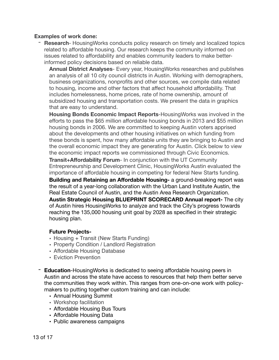#### **Examples of work done:**

- **Research**- HousingWorks conducts policy research on timely and localized topics related to affordable housing. Our research keeps the community informed on issues related to affordability and enables community leaders to make betterinformed policy decisions based on reliable data.

**Annual District Analyses**- Every year, HousingWorks researches and publishes an analysis of all 10 city council districts in Austin. Working with demographers, business organizations, nonprofits and other sources, we compile data related to housing, income and other factors that affect household affordability. That includes homelessness, home prices, rate of home ownership, amount of subsidized housing and transportation costs. We present the data in graphics that are easy to understand.

**Housing Bonds Economic Impact Reports**-HousingWorks was involved in the efforts to pass the \$65 million affordable housing bonds in 2013 and \$55 million housing bonds in 2006. We are committed to keeping Austin voters apprised about the developments and other housing initiatives on which funding from these bonds is spent, how many affordable units they are bringing to Austin and the overall economic impact they are generating for Austin. Click below to view the economic impact reports we commissioned through Civic Economics.

**Transit+Affordability Forum-** In conjunction with the UT Community Entrepreneurship and Development Clinic, HousingWorks Austin evaluated the importance of affordable housing in competing for federal New Starts funding.

**Building and Retaining an Affordable Housing-** a ground-breaking report was the result of a year-long collaboration with the Urban Land Institute Austin, the Real Estate Council of Austin, and the Austin Area Research Organization. **Austin Strategic Housing BLUEPRINT SCORECARD Annual report-** The city of Austin hires HousingWorks to analyze and track the City's progress towards reaching the 135,000 housing unit goal by 2028 as specified in their strategic housing plan.

### **Future Projects-**

- Housing + Transit (New Starts Funding)
- Property Condition / Landlord Registration
- Affordable Housing Database
- Eviction Prevention
- **Education**-HousingWorks is dedicated to seeing affordable housing peers in Austin and across the state have access to resources that help them better serve the communities they work within. This ranges from one-on-one work with policymakers to putting together custom training and can include:
	- Annual Housing Summit
	- Workshop facilitation
	- Affordable Housing Bus Tours
	- Affordable Housing Data
	- [Public awareness campaigns](http://housingworksaustin.org/keep-austin-affordable-housingworks-austin/)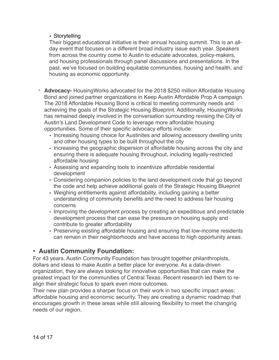## • [Storytelling](http://housingworksaustin.org/news/learning-to-soar-rashondas-story/)

Their biggest educational initiative is their annual housing summit. This is an allday event that focuses on a different broad industry issue each year. Speakers from across the country come to Austin to educate advocates, policy-makers, and housing professionals through panel discussions and presentations. In the past, we've focused on building equitable communities, housing and health, and housing as economic opportunity.

- **Advocacy-** HousingWorks advocated for the 2018 \$250 million Affordable Housing Bond and joined partner organizations in Keep Austin Affordable Prop A campaign. The 2018 Affordable Housing Bond is critical to meeting community needs and achieving the goals of the Strategic Housing Blueprint. Additionally, HousingWorks has remained deeply involved in the conversation surrounding revising the City of Austin's Land Development Code to leverage more affordable housing opportunities. Some of their specific advocacy efforts include:
	- Increasing housing choice for Austinites and allowing accessory dwelling units and other housing types to be built throughout the city
	- Increasing the geographic dispersion of affordable housing across the city and ensuring there is adequate housing throughout, including legally-restricted affordable housing
	- Assessing and expanding tools to incentivize affordable residential development
	- Considering companion policies to the land development code that go beyond the code and help achieve additional goals of the Strategic Housing Blueprint
	- Weighing entitlements against affordability, including gaining a better understanding of community benefits and the need to address fair housing concerns
	- Improving the development process by creating an expeditious and predictable development process that can ease the pressure on housing supply and contribute to greater affordability
	- Preserving existing affordable housing and ensuring that low-income residents can remain in their neighborhoods and have access to high opportunity areas.

## **• Austin Community Foundation:**

For 43 years, Austin Community Foundation has brought together philanthropists, dollars and ideas to make Austin a better place for everyone. As a data-driven organization, they are always looking for innovative opportunities that can make the greatest impact for the communities of Central Texas. Recent research led them to realign their strategic focus to spark even more outcomes.

Their new plan provides a sharper focus on their work in two specific impact areas: affordable housing and economic security. They are creating a dynamic roadmap that encourages growth in these areas while still allowing flexibility to meet the changing needs of our region.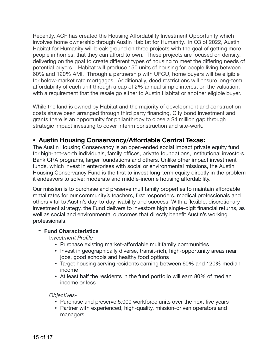Recently, ACF has created the Housing Affordability Investment Opportunity which involves home ownership through Austin Habitat for Humanity. in Q3 of 2022, Austin Habitat for Humanity will break ground on three projects with the goal of getting more people in homes, that they can afford to own. These projects are focused on density, delivering on the goal to create different types of housing to meet the differing needs of potential buyers. Habitat will produce 150 units of housing for people living between 60% and 120% AMI. Through a partnership with UFCU, home buyers will be eligible for below-market rate mortgages. Additionally, deed restrictions will ensure long-term affordability of each unit through a cap of 2% annual simple interest on the valuation, with a requirement that the resale go either to Austin Habitat or another eligible buyer.

While the land is owned by Habitat and the majority of development and construction costs shave been arranged through third party financing, City bond investment and grants there is an opportunity for philanthropy to close a \$4 million gap through strategic impact investing to cover interim construction and site-work.

## **• Austin Housing Conservancy/Affordable Central Texas:**

The Austin Housing Conservancy is an open-ended social impact private equity fund for high-net-worth individuals, family offices, private foundations, institutional investors, Bank CRA programs, larger foundations and others. Unlike other impact investment funds, which invest in enterprises with social or environmental missions, the Austin Housing Conservancy Fund is the first to invest long-term equity directly in the problem it endeavors to solve: moderate and middle-income housing affordability.

Our mission is to purchase and preserve multifamily properties to maintain affordable rental rates for our community's teachers, first responders, medical professionals and others vital to Austin's day-to-day livability and success. With a flexible, discretionary investment strategy, the Fund delivers to investors high single-digit financial returns, as well as social and environmental outcomes that directly benefit Austin's working professionals.

### **- Fund Characteristics**

I*nvestment Profile-*

- Purchase existing market-affordable multifamily communities
- Invest in geographically diverse, transit-rich, high-opportunity areas near jobs, good schools and healthy food options
- Target housing serving residents earning between 60% and 120% median income
- At least half the residents in the fund portfolio will earn 80% of median income or less

### *Objectives-*

- Purchase and preserve 5,000 workforce units over the next five years
- Partner with experienced, high-quality, mission-driven operators and managers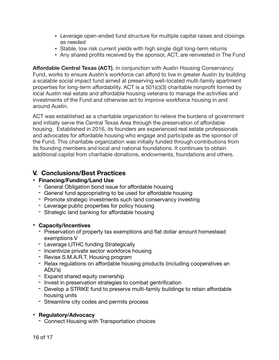- Leverage open-ended fund structure for multiple capital raises and closings as needed
- Stable, low risk current yields with high single digit long-term returns
- Any shared profits received by the sponsor, ACT, are reinvested in The Fund

**Affordable Central Texas (ACT), in conjunction with Austin Housing Conservancy** Fund, works to ensure Austin's workforce can afford to live in greater Austin by building a scalable social impact fund aimed at preserving well-located multi-family apartment properties for long-term affordability. ACT is a 501(c)(3) charitable nonprofit formed by local Austin real estate and affordable housing veterans to manage the activities and investments of the Fund and otherwise act to improve workforce housing in and around Austin.

ACT was established as a charitable organization to relieve the burdens of government and initially serve the Central Texas Area through the preservation of affordable housing. Established in 2016, its founders are experienced real estate professionals and advocates for affordable housing who engage and participate as the sponsor of the Fund. This charitable organization was initially funded through contributions from its founding members and local and national foundations. It continues to obtain additional capital from charitable donations, endowments, foundations and others.

## **V. Conclusions/Best Practices**

- **• Financing/Funding/Land Use** 
	- General Obligation bond issue for affordable housing
	- General fund appropriating to be used for affordable housing
	- Promote strategic investments such land conservancy investing
	- Leverage public properties for policy housing
	- Strategic land banking for affordable housing

### **• Capacity/Incentives**

- Preservation of property tax exemptions and flat dollar amount homestead exemptions V
- Leverage LITHC funding Strategically
- Incentivize private sector workforce housing
- Revise S.M.A.R.T. Housing program
- Relax regulations on affordable housing products (including cooperatives an ADU's)
- Expand shared equity ownership
- Invest in preservation strategies to combat gentrification
- Develop a STRIKE fund to preserve multi-family buildings to retain affordable housing units
- Streamline city codes and permits process

## **• Regulatory/Advocacy**

- Connect Housing with Transportation choices